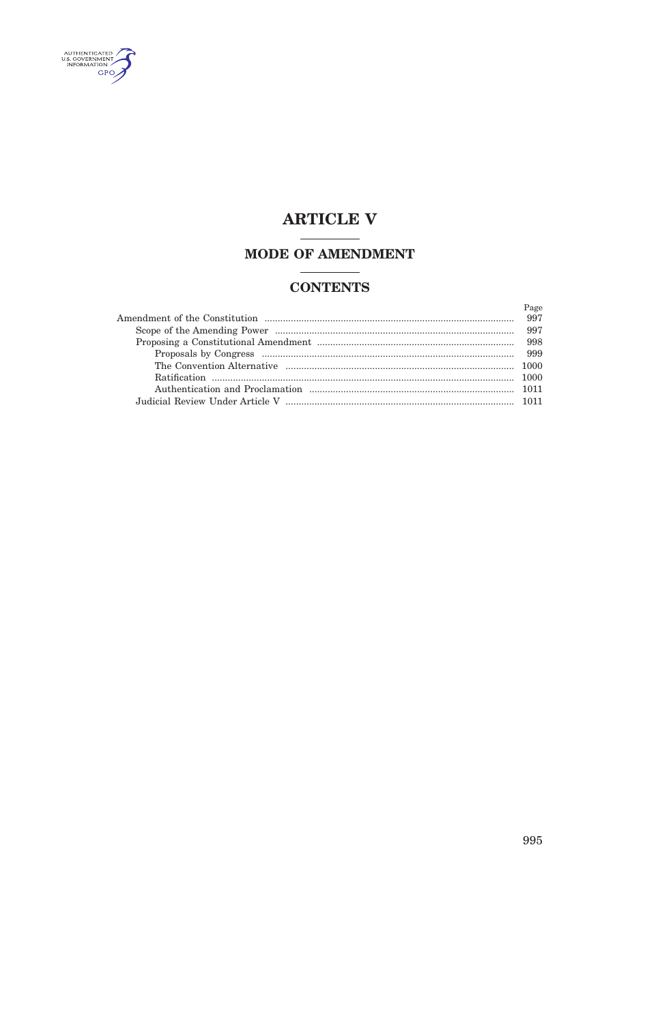# **ARTICLE V**

AUTHENTICATED<br>U.S. GOVERNMENT<br>INFORMATION<br>GPO

# **MODE OF AMENDMENT**

# **CONTENTS**

| Page |
|------|
| 997  |
| 997  |
| 998  |
| 999  |
|      |
|      |
|      |
|      |
|      |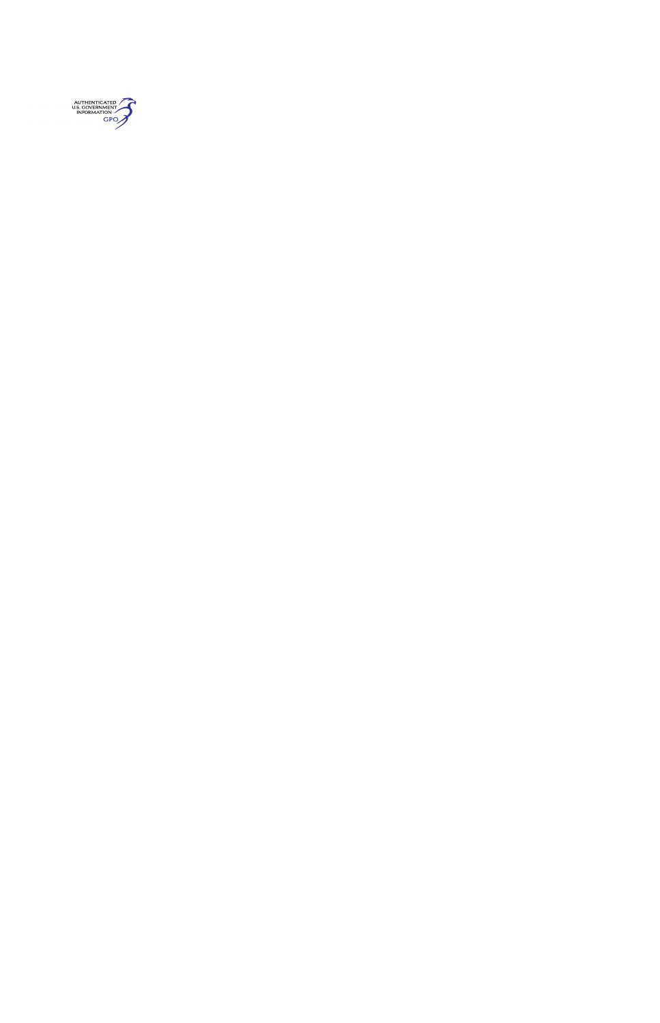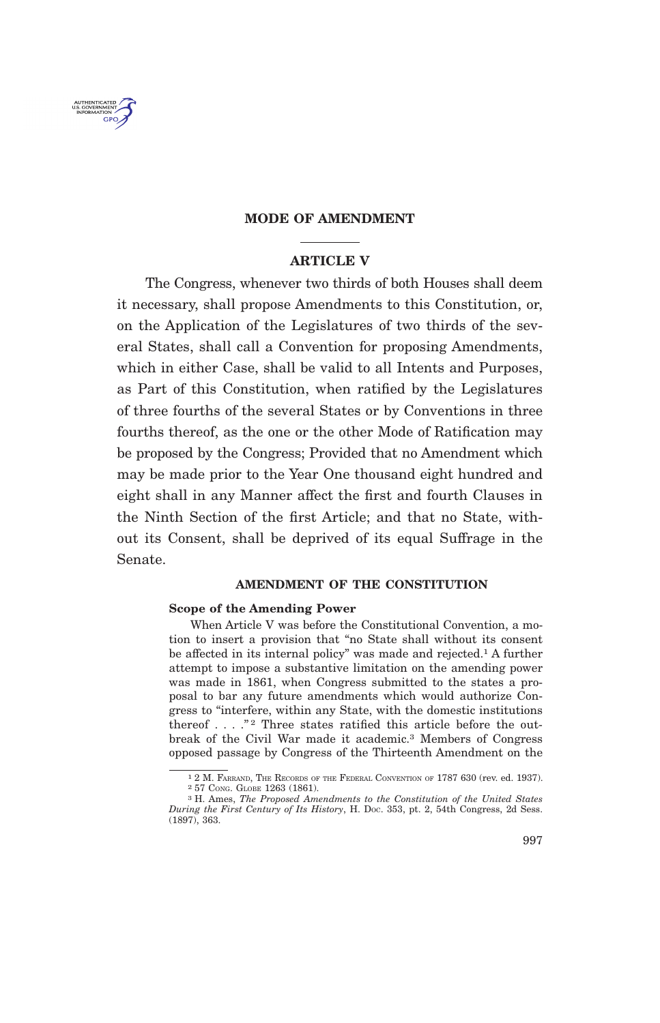<span id="page-2-0"></span>

## **MODE OF AMENDMENT**

# **ARTICLE V**

The Congress, whenever two thirds of both Houses shall deem it necessary, shall propose Amendments to this Constitution, or, on the Application of the Legislatures of two thirds of the several States, shall call a Convention for proposing Amendments, which in either Case, shall be valid to all Intents and Purposes, as Part of this Constitution, when ratified by the Legislatures of three fourths of the several States or by Conventions in three fourths thereof, as the one or the other Mode of Ratification may be proposed by the Congress; Provided that no Amendment which may be made prior to the Year One thousand eight hundred and eight shall in any Manner affect the first and fourth Clauses in the Ninth Section of the first Article; and that no State, without its Consent, shall be deprived of its equal Suffrage in the Senate.

# **AMENDMENT OF THE CONSTITUTION**

## **Scope of the Amending Power**

When Article V was before the Constitutional Convention, a motion to insert a provision that "no State shall without its consent be affected in its internal policy" was made and rejected.<sup>1</sup> A further attempt to impose a substantive limitation on the amending power was made in 1861, when Congress submitted to the states a proposal to bar any future amendments which would authorize Congress to "interfere, within any State, with the domestic institutions thereof  $\ldots$  ."<sup>2</sup> Three states ratified this article before the outbreak of the Civil War made it academic.<sup>3</sup> Members of Congress opposed passage by Congress of the Thirteenth Amendment on the

<sup>1</sup> 2 M. FARRAND, THE RECORDS OF THE FEDERAL CONVENTION OF 1787 630 (rev. ed. 1937). 2 57 CONG. GLOBE 1263 (1861).

<sup>3</sup> H. Ames, *The Proposed Amendments to the Constitution of the United States During the First Century of Its History*, H. DOC. 353, pt. 2, 54th Congress, 2d Sess. (1897), 363.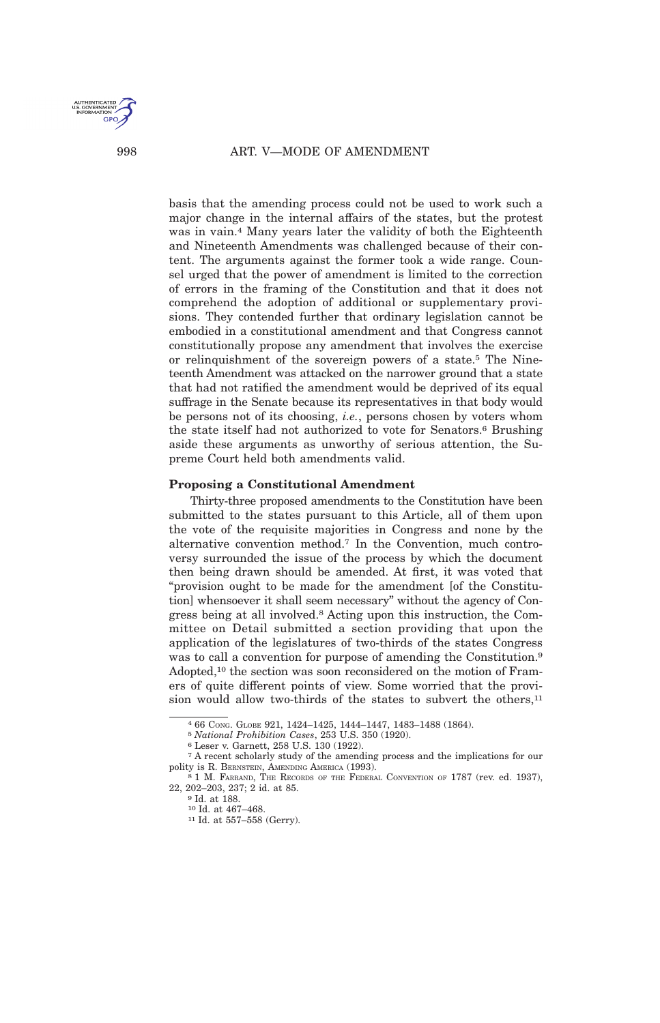<span id="page-3-0"></span>

basis that the amending process could not be used to work such a major change in the internal affairs of the states, but the protest was in vain.<sup>4</sup> Many years later the validity of both the Eighteenth and Nineteenth Amendments was challenged because of their content. The arguments against the former took a wide range. Counsel urged that the power of amendment is limited to the correction of errors in the framing of the Constitution and that it does not comprehend the adoption of additional or supplementary provisions. They contended further that ordinary legislation cannot be embodied in a constitutional amendment and that Congress cannot constitutionally propose any amendment that involves the exercise or relinquishment of the sovereign powers of a state.<sup>5</sup> The Nineteenth Amendment was attacked on the narrower ground that a state that had not ratified the amendment would be deprived of its equal suffrage in the Senate because its representatives in that body would be persons not of its choosing, *i.e.*, persons chosen by voters whom the state itself had not authorized to vote for Senators.<sup>6</sup> Brushing aside these arguments as unworthy of serious attention, the Supreme Court held both amendments valid.

### **Proposing a Constitutional Amendment**

Thirty-three proposed amendments to the Constitution have been submitted to the states pursuant to this Article, all of them upon the vote of the requisite majorities in Congress and none by the alternative convention method.<sup>7</sup> In the Convention, much controversy surrounded the issue of the process by which the document then being drawn should be amended. At first, it was voted that "provision ought to be made for the amendment [of the Constitution] whensoever it shall seem necessary" without the agency of Congress being at all involved.<sup>8</sup> Acting upon this instruction, the Committee on Detail submitted a section providing that upon the application of the legislatures of two-thirds of the states Congress was to call a convention for purpose of amending the Constitution.<sup>9</sup> Adopted,<sup>10</sup> the section was soon reconsidered on the motion of Framers of quite different points of view. Some worried that the provision would allow two-thirds of the states to subvert the others,<sup>11</sup>

<sup>4</sup> 66 CONG. GLOBE 921, 1424–1425, 1444–1447, 1483–1488 (1864).

<sup>5</sup> *National Prohibition Cases*, 253 U.S. 350 (1920).

<sup>6</sup> Leser v. Garnett, 258 U.S. 130 (1922).

<sup>7</sup> A recent scholarly study of the amending process and the implications for our polity is R. BERNSTEIN, AMENDING AMERICA (1993).

<sup>&</sup>lt;sup>8</sup> 1 M. FARRAND, THE RECORDS OF THE FEDERAL CONVENTION OF 1787 (rev. ed. 1937). 22, 202–203, 237; 2 id. at 85.

<sup>9</sup> Id. at 188.

<sup>10</sup> Id. at 467–468.

<sup>11</sup> Id. at 557–558 (Gerry).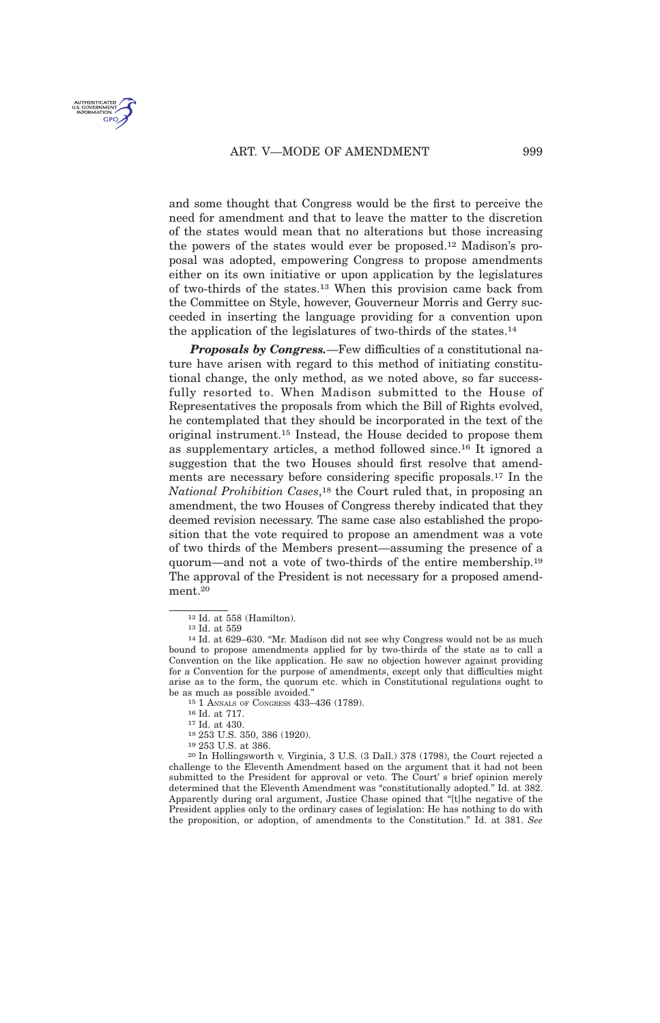<span id="page-4-0"></span>

and some thought that Congress would be the first to perceive the need for amendment and that to leave the matter to the discretion of the states would mean that no alterations but those increasing the powers of the states would ever be proposed.<sup>12</sup> Madison's proposal was adopted, empowering Congress to propose amendments either on its own initiative or upon application by the legislatures of two-thirds of the states.<sup>13</sup> When this provision came back from the Committee on Style, however, Gouverneur Morris and Gerry succeeded in inserting the language providing for a convention upon the application of the legislatures of two-thirds of the states.<sup>14</sup>

*Proposals by Congress.*—Few difficulties of a constitutional nature have arisen with regard to this method of initiating constitutional change, the only method, as we noted above, so far successfully resorted to. When Madison submitted to the House of Representatives the proposals from which the Bill of Rights evolved, he contemplated that they should be incorporated in the text of the original instrument.<sup>15</sup> Instead, the House decided to propose them as supplementary articles, a method followed since.<sup>16</sup> It ignored a suggestion that the two Houses should first resolve that amendments are necessary before considering specific proposals.<sup>17</sup> In the *National Prohibition Cases*, <sup>18</sup> the Court ruled that, in proposing an amendment, the two Houses of Congress thereby indicated that they deemed revision necessary. The same case also established the proposition that the vote required to propose an amendment was a vote of two thirds of the Members present—assuming the presence of a quorum—and not a vote of two-thirds of the entire membership.<sup>19</sup> The approval of the President is not necessary for a proposed amendment.<sup>20</sup>

<sup>12</sup> Id. at 558 (Hamilton).

<sup>13</sup> Id. at 559

<sup>14</sup> Id. at 629–630. "Mr. Madison did not see why Congress would not be as much bound to propose amendments applied for by two-thirds of the state as to call a Convention on the like application. He saw no objection however against providing for a Convention for the purpose of amendments, except only that difficulties might arise as to the form, the quorum etc. which in Constitutional regulations ought to be as much as possible avoided."

<sup>15</sup> 1 ANNALS OF CONGRESS 433–436 (1789).

<sup>16</sup> Id. at 717.

<sup>17</sup> Id. at 430.

<sup>18</sup> 253 U.S. 350, 386 (1920).

<sup>19</sup> 253 U.S. at 386.

<sup>20</sup> In Hollingsworth v. Virginia, 3 U.S. (3 Dall.) 378 (1798), the Court rejected a challenge to the Eleventh Amendment based on the argument that it had not been submitted to the President for approval or veto. The Court' s brief opinion merely determined that the Eleventh Amendment was "constitutionally adopted." Id. at 382. Apparently during oral argument, Justice Chase opined that "[t]he negative of the President applies only to the ordinary cases of legislation: He has nothing to do with the proposition, or adoption, of amendments to the Constitution." Id. at 381. *See*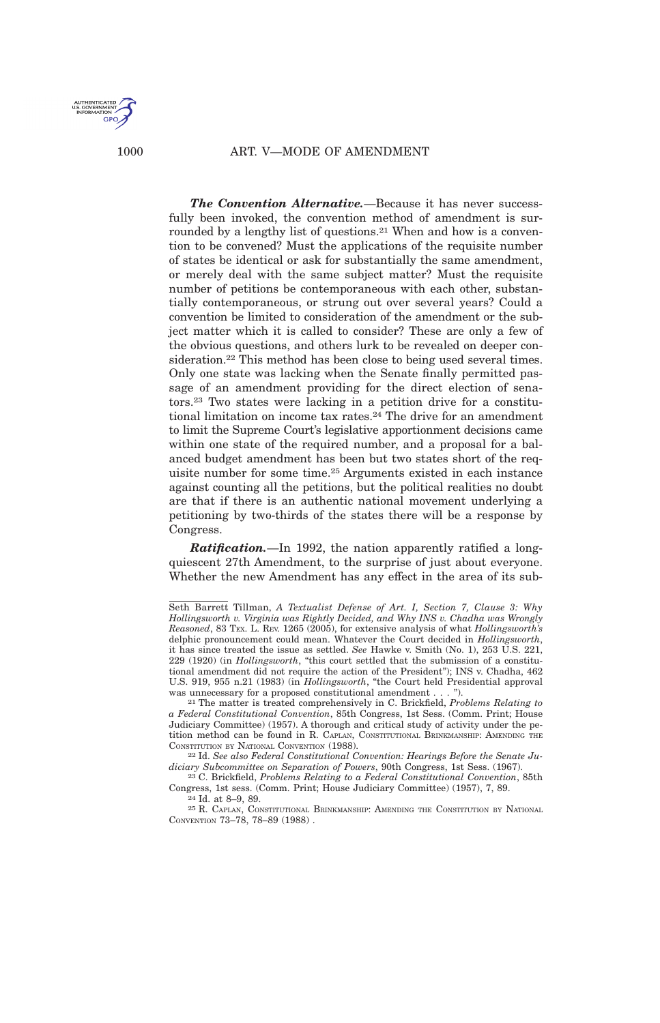<span id="page-5-0"></span>

*The Convention Alternative.*—Because it has never successfully been invoked, the convention method of amendment is surrounded by a lengthy list of questions.<sup>21</sup> When and how is a convention to be convened? Must the applications of the requisite number of states be identical or ask for substantially the same amendment, or merely deal with the same subject matter? Must the requisite number of petitions be contemporaneous with each other, substantially contemporaneous, or strung out over several years? Could a convention be limited to consideration of the amendment or the subject matter which it is called to consider? These are only a few of the obvious questions, and others lurk to be revealed on deeper consideration.<sup>22</sup> This method has been close to being used several times. Only one state was lacking when the Senate finally permitted passage of an amendment providing for the direct election of senators.<sup>23</sup> Two states were lacking in a petition drive for a constitutional limitation on income tax rates.<sup>24</sup> The drive for an amendment to limit the Supreme Court's legislative apportionment decisions came within one state of the required number, and a proposal for a balanced budget amendment has been but two states short of the requisite number for some time.<sup>25</sup> Arguments existed in each instance against counting all the petitions, but the political realities no doubt are that if there is an authentic national movement underlying a petitioning by two-thirds of the states there will be a response by Congress.

*Ratification.*—In 1992, the nation apparently ratified a longquiescent 27th Amendment, to the surprise of just about everyone. Whether the new Amendment has any effect in the area of its sub-

Seth Barrett Tillman, *A Textualist Defense of Art. I, Section 7, Clause 3: Why Hollingsworth v. Virginia was Rightly Decided, and Why INS v. Chadha was Wrongly Reasoned*, 83 TEX. L. REV. 1265 (2005), for extensive analysis of what *Hollingsworth's* delphic pronouncement could mean. Whatever the Court decided in *Hollingsworth*, it has since treated the issue as settled. *See* Hawke v. Smith (No. 1), 253 U.S. 221, 229 (1920) (in *Hollingsworth*, "this court settled that the submission of a constitutional amendment did not require the action of the President"); INS v. Chadha, 462 U.S. 919, 955 n.21 (1983) (in *Hollingsworth*, "the Court held Presidential approval was unnecessary for a proposed constitutional amendment . . . ").

<sup>21</sup> The matter is treated comprehensively in C. Brickfield, *Problems Relating to a Federal Constitutional Convention*, 85th Congress, 1st Sess. (Comm. Print; House Judiciary Committee) (1957). A thorough and critical study of activity under the petition method can be found in R. CAPLAN, CONSTITUTIONAL BRINKMANSHIP: AMENDING THE CONSTITUTION BY NATIONAL CONVENTION (1988).

<sup>22</sup> Id. *See also Federal Constitutional Convention: Hearings Before the Senate Judiciary Subcommittee on Separation of Powers*, 90th Congress, 1st Sess. (1967).

<sup>23</sup> C. Brickfield, *Problems Relating to a Federal Constitutional Convention*, 85th Congress, 1st sess. (Comm. Print; House Judiciary Committee) (1957), 7, 89.

<sup>24</sup> Id. at 8–9, 89.

<sup>25</sup> R. CAPLAN, CONSTITUTIONAL BRINKMANSHIP: AMENDING THE CONSTITUTION BY NATIONAL CONVENTION 73–78, 78–89 (1988) .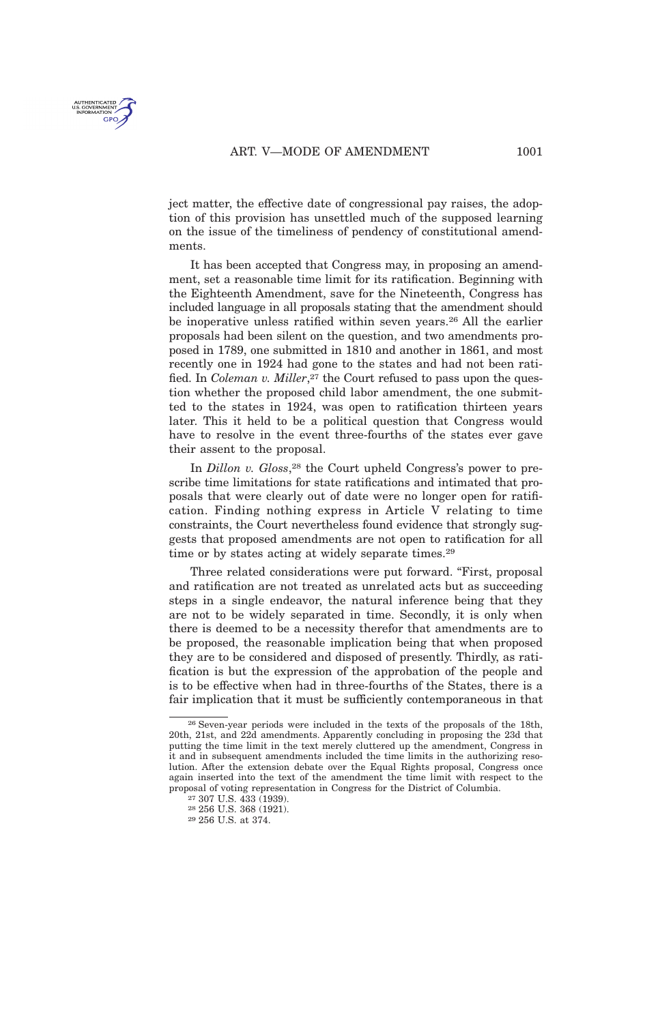

ject matter, the effective date of congressional pay raises, the adoption of this provision has unsettled much of the supposed learning on the issue of the timeliness of pendency of constitutional amendments.

It has been accepted that Congress may, in proposing an amendment, set a reasonable time limit for its ratification. Beginning with the Eighteenth Amendment, save for the Nineteenth, Congress has included language in all proposals stating that the amendment should be inoperative unless ratified within seven years.<sup>26</sup> All the earlier proposals had been silent on the question, and two amendments proposed in 1789, one submitted in 1810 and another in 1861, and most recently one in 1924 had gone to the states and had not been ratified. In *Coleman v. Miller*, <sup>27</sup> the Court refused to pass upon the question whether the proposed child labor amendment, the one submitted to the states in 1924, was open to ratification thirteen years later. This it held to be a political question that Congress would have to resolve in the event three-fourths of the states ever gave their assent to the proposal.

In *Dillon v. Gloss*, <sup>28</sup> the Court upheld Congress's power to prescribe time limitations for state ratifications and intimated that proposals that were clearly out of date were no longer open for ratification. Finding nothing express in Article V relating to time constraints, the Court nevertheless found evidence that strongly suggests that proposed amendments are not open to ratification for all time or by states acting at widely separate times.<sup>29</sup>

Three related considerations were put forward. "First, proposal and ratification are not treated as unrelated acts but as succeeding steps in a single endeavor, the natural inference being that they are not to be widely separated in time. Secondly, it is only when there is deemed to be a necessity therefor that amendments are to be proposed, the reasonable implication being that when proposed they are to be considered and disposed of presently. Thirdly, as ratification is but the expression of the approbation of the people and is to be effective when had in three-fourths of the States, there is a fair implication that it must be sufficiently contemporaneous in that

<sup>26</sup> Seven-year periods were included in the texts of the proposals of the 18th, 20th, 21st, and 22d amendments. Apparently concluding in proposing the 23d that putting the time limit in the text merely cluttered up the amendment, Congress in it and in subsequent amendments included the time limits in the authorizing resolution. After the extension debate over the Equal Rights proposal, Congress once again inserted into the text of the amendment the time limit with respect to the proposal of voting representation in Congress for the District of Columbia.

<sup>27</sup> 307 U.S. 433 (1939).

<sup>28</sup> 256 U.S. 368 (1921).

<sup>29</sup> 256 U.S. at 374.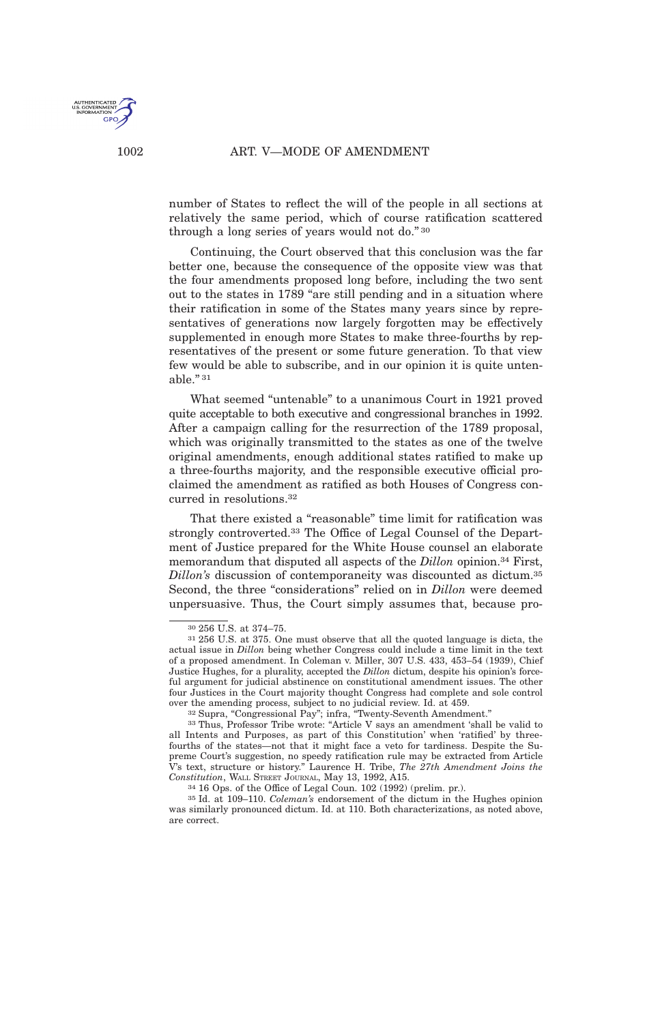

number of States to reflect the will of the people in all sections at relatively the same period, which of course ratification scattered through a long series of years would not do." <sup>30</sup>

Continuing, the Court observed that this conclusion was the far better one, because the consequence of the opposite view was that the four amendments proposed long before, including the two sent out to the states in 1789 "are still pending and in a situation where their ratification in some of the States many years since by representatives of generations now largely forgotten may be effectively supplemented in enough more States to make three-fourths by representatives of the present or some future generation. To that view few would be able to subscribe, and in our opinion it is quite untenable." <sup>31</sup>

What seemed "untenable" to a unanimous Court in 1921 proved quite acceptable to both executive and congressional branches in 1992. After a campaign calling for the resurrection of the 1789 proposal, which was originally transmitted to the states as one of the twelve original amendments, enough additional states ratified to make up a three-fourths majority, and the responsible executive official proclaimed the amendment as ratified as both Houses of Congress concurred in resolutions.<sup>32</sup>

That there existed a "reasonable" time limit for ratification was strongly controverted.<sup>33</sup> The Office of Legal Counsel of the Department of Justice prepared for the White House counsel an elaborate memorandum that disputed all aspects of the *Dillon* opinion.<sup>34</sup> First, *Dillon's* discussion of contemporaneity was discounted as dictum.<sup>35</sup> Second, the three "considerations" relied on in *Dillon* were deemed unpersuasive. Thus, the Court simply assumes that, because pro-

<sup>30</sup> 256 U.S. at 374–75.

<sup>31</sup> 256 U.S. at 375. One must observe that all the quoted language is dicta, the actual issue in *Dillon* being whether Congress could include a time limit in the text of a proposed amendment. In Coleman v. Miller, 307 U.S. 433, 453–54 (1939), Chief Justice Hughes, for a plurality, accepted the *Dillon* dictum, despite his opinion's forceful argument for judicial abstinence on constitutional amendment issues. The other four Justices in the Court majority thought Congress had complete and sole control over the amending process, subject to no judicial review. Id. at 459.

<sup>32</sup> Supra, "Congressional Pay"; infra, "Twenty-Seventh Amendment."

<sup>33</sup> Thus, Professor Tribe wrote: "Article V says an amendment 'shall be valid to all Intents and Purposes, as part of this Constitution' when 'ratified' by threefourths of the states—not that it might face a veto for tardiness. Despite the Supreme Court's suggestion, no speedy ratification rule may be extracted from Article V's text, structure or history." Laurence H. Tribe, *The 27th Amendment Joins the Constitution*, WALL STREET JOURNAL, May 13, 1992, A15.

<sup>34</sup> 16 Ops. of the Office of Legal Coun. 102 (1992) (prelim. pr.).

<sup>35</sup> Id. at 109–110. *Coleman's* endorsement of the dictum in the Hughes opinion was similarly pronounced dictum. Id. at 110. Both characterizations, as noted above, are correct.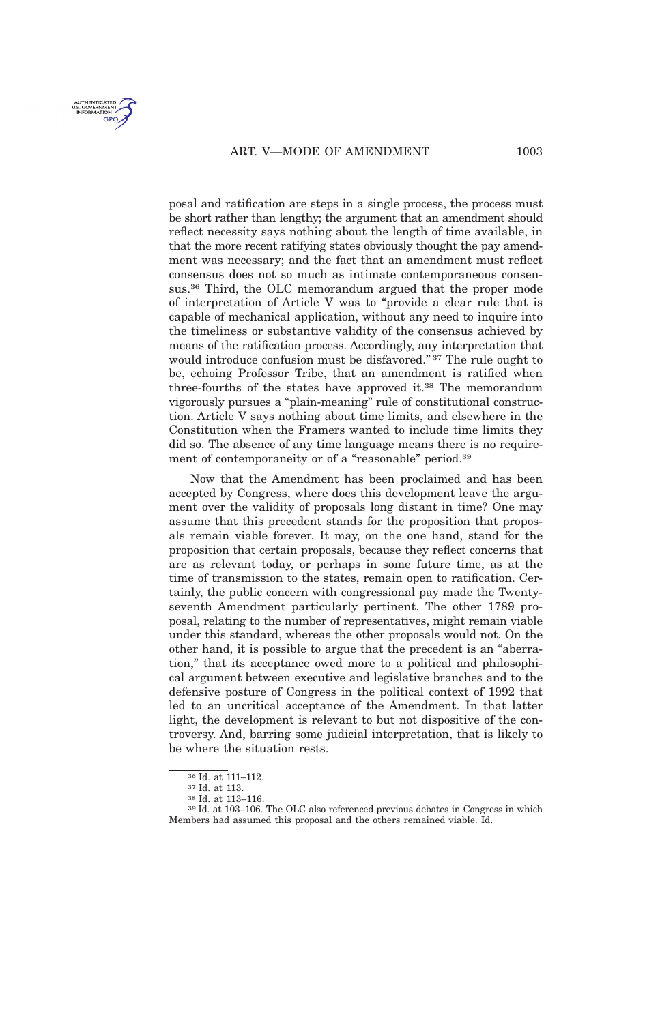

posal and ratification are steps in a single process, the process must be short rather than lengthy; the argument that an amendment should reflect necessity says nothing about the length of time available, in that the more recent ratifying states obviously thought the pay amendment was necessary; and the fact that an amendment must reflect consensus does not so much as intimate contemporaneous consensus.<sup>36</sup> Third, the OLC memorandum argued that the proper mode of interpretation of Article V was to "provide a clear rule that is capable of mechanical application, without any need to inquire into the timeliness or substantive validity of the consensus achieved by means of the ratification process. Accordingly, any interpretation that would introduce confusion must be disfavored."<sup>37</sup> The rule ought to be, echoing Professor Tribe, that an amendment is ratified when three-fourths of the states have approved it.<sup>38</sup> The memorandum vigorously pursues a "plain-meaning" rule of constitutional construction. Article V says nothing about time limits, and elsewhere in the Constitution when the Framers wanted to include time limits they did so. The absence of any time language means there is no requirement of contemporaneity or of a "reasonable" period.<sup>39</sup>

Now that the Amendment has been proclaimed and has been accepted by Congress, where does this development leave the argument over the validity of proposals long distant in time? One may assume that this precedent stands for the proposition that proposals remain viable forever. It may, on the one hand, stand for the proposition that certain proposals, because they reflect concerns that are as relevant today, or perhaps in some future time, as at the time of transmission to the states, remain open to ratification. Certainly, the public concern with congressional pay made the Twentyseventh Amendment particularly pertinent. The other 1789 proposal, relating to the number of representatives, might remain viable under this standard, whereas the other proposals would not. On the other hand, it is possible to argue that the precedent is an "aberration," that its acceptance owed more to a political and philosophical argument between executive and legislative branches and to the defensive posture of Congress in the political context of 1992 that led to an uncritical acceptance of the Amendment. In that latter light, the development is relevant to but not dispositive of the controversy. And, barring some judicial interpretation, that is likely to be where the situation rests.

<sup>36</sup> Id. at 111–112.

<sup>37</sup> Id. at 113.

<sup>38</sup> Id. at 113–116.

<sup>39</sup> Id. at 103–106. The OLC also referenced previous debates in Congress in which Members had assumed this proposal and the others remained viable. Id.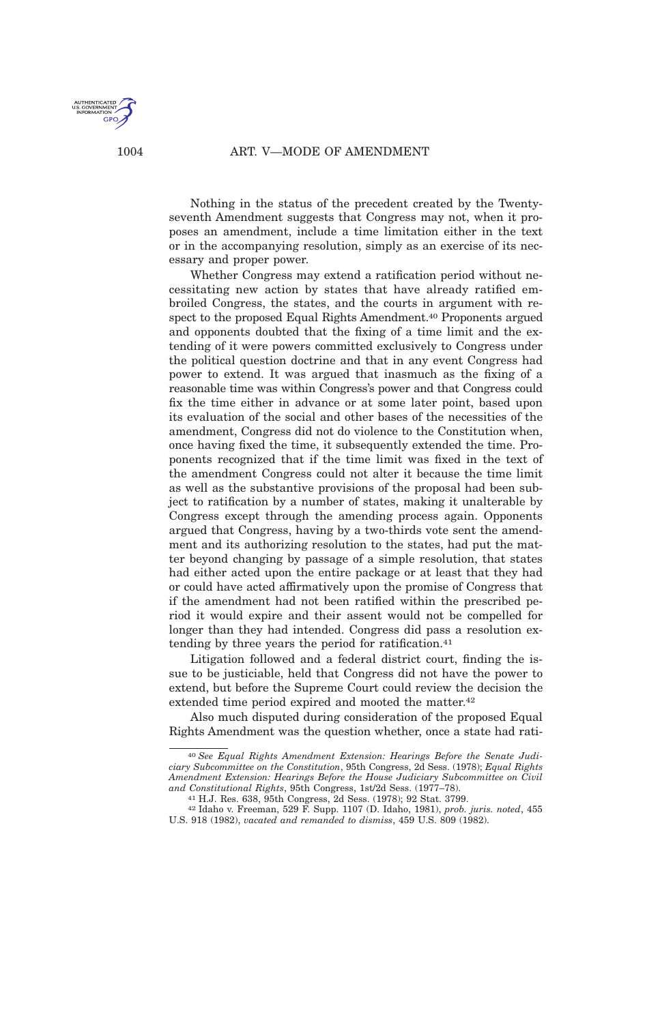

Nothing in the status of the precedent created by the Twentyseventh Amendment suggests that Congress may not, when it proposes an amendment, include a time limitation either in the text or in the accompanying resolution, simply as an exercise of its necessary and proper power.

Whether Congress may extend a ratification period without necessitating new action by states that have already ratified embroiled Congress, the states, and the courts in argument with respect to the proposed Equal Rights Amendment.<sup>40</sup> Proponents argued and opponents doubted that the fixing of a time limit and the extending of it were powers committed exclusively to Congress under the political question doctrine and that in any event Congress had power to extend. It was argued that inasmuch as the fixing of a reasonable time was within Congress's power and that Congress could fix the time either in advance or at some later point, based upon its evaluation of the social and other bases of the necessities of the amendment, Congress did not do violence to the Constitution when, once having fixed the time, it subsequently extended the time. Proponents recognized that if the time limit was fixed in the text of the amendment Congress could not alter it because the time limit as well as the substantive provisions of the proposal had been subject to ratification by a number of states, making it unalterable by Congress except through the amending process again. Opponents argued that Congress, having by a two-thirds vote sent the amendment and its authorizing resolution to the states, had put the matter beyond changing by passage of a simple resolution, that states had either acted upon the entire package or at least that they had or could have acted affirmatively upon the promise of Congress that if the amendment had not been ratified within the prescribed period it would expire and their assent would not be compelled for longer than they had intended. Congress did pass a resolution extending by three years the period for ratification.<sup>41</sup>

Litigation followed and a federal district court, finding the issue to be justiciable, held that Congress did not have the power to extend, but before the Supreme Court could review the decision the extended time period expired and mooted the matter.<sup>42</sup>

Also much disputed during consideration of the proposed Equal Rights Amendment was the question whether, once a state had rati-

<sup>40</sup> *See Equal Rights Amendment Extension: Hearings Before the Senate Judiciary Subcommittee on the Constitution*, 95th Congress, 2d Sess. (1978); *Equal Rights Amendment Extension: Hearings Before the House Judiciary Subcommittee on Civil and Constitutional Rights*, 95th Congress, 1st/2d Sess. (1977–78).

<sup>41</sup> H.J. Res. 638, 95th Congress, 2d Sess. (1978); 92 Stat. 3799.

<sup>42</sup> Idaho v. Freeman, 529 F. Supp. 1107 (D. Idaho, 1981), *prob. juris. noted*, 455 U.S. 918 (1982), *vacated and remanded to dismiss*, 459 U.S. 809 (1982).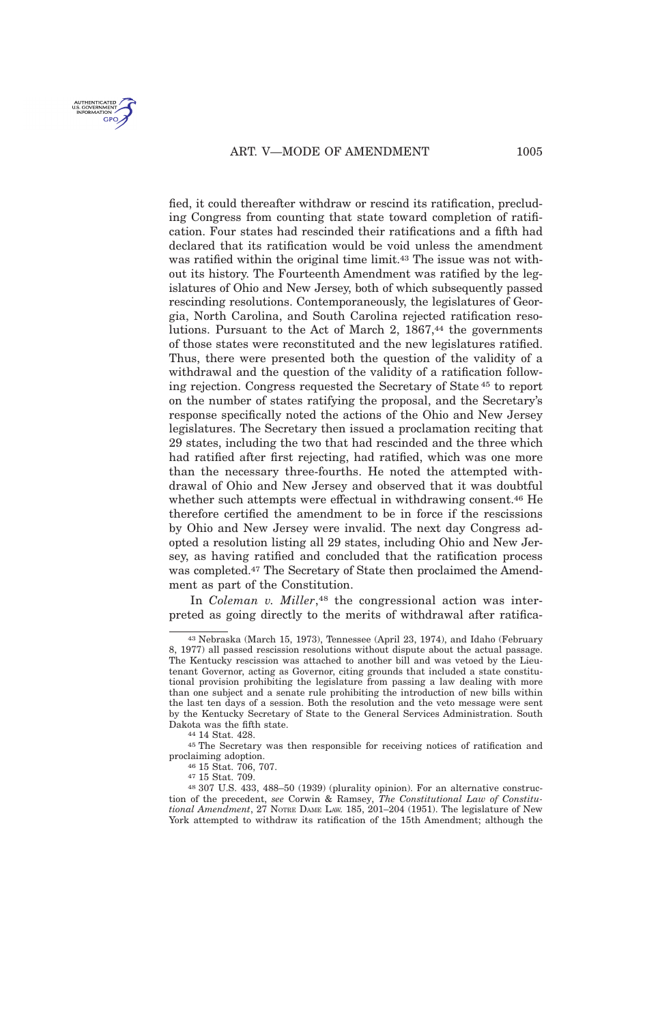

fied, it could thereafter withdraw or rescind its ratification, precluding Congress from counting that state toward completion of ratification. Four states had rescinded their ratifications and a fifth had declared that its ratification would be void unless the amendment was ratified within the original time limit.<sup>43</sup> The issue was not without its history. The Fourteenth Amendment was ratified by the legislatures of Ohio and New Jersey, both of which subsequently passed rescinding resolutions. Contemporaneously, the legislatures of Georgia, North Carolina, and South Carolina rejected ratification resolutions. Pursuant to the Act of March 2,  $1867<sup>44</sup>$ , the governments of those states were reconstituted and the new legislatures ratified. Thus, there were presented both the question of the validity of a withdrawal and the question of the validity of a ratification following rejection. Congress requested the Secretary of State <sup>45</sup> to report on the number of states ratifying the proposal, and the Secretary's response specifically noted the actions of the Ohio and New Jersey legislatures. The Secretary then issued a proclamation reciting that 29 states, including the two that had rescinded and the three which had ratified after first rejecting, had ratified, which was one more than the necessary three-fourths. He noted the attempted withdrawal of Ohio and New Jersey and observed that it was doubtful whether such attempts were effectual in withdrawing consent.<sup>46</sup> He therefore certified the amendment to be in force if the rescissions by Ohio and New Jersey were invalid. The next day Congress adopted a resolution listing all 29 states, including Ohio and New Jersey, as having ratified and concluded that the ratification process was completed.<sup>47</sup> The Secretary of State then proclaimed the Amendment as part of the Constitution.

In *Coleman v. Miller*, <sup>48</sup> the congressional action was interpreted as going directly to the merits of withdrawal after ratifica-

<sup>43</sup> Nebraska (March 15, 1973), Tennessee (April 23, 1974), and Idaho (February 8, 1977) all passed rescission resolutions without dispute about the actual passage. The Kentucky rescission was attached to another bill and was vetoed by the Lieutenant Governor, acting as Governor, citing grounds that included a state constitutional provision prohibiting the legislature from passing a law dealing with more than one subject and a senate rule prohibiting the introduction of new bills within the last ten days of a session. Both the resolution and the veto message were sent by the Kentucky Secretary of State to the General Services Administration. South Dakota was the fifth state.

<sup>44</sup> 14 Stat. 428.

<sup>45</sup> The Secretary was then responsible for receiving notices of ratification and proclaiming adoption.

<sup>46</sup> 15 Stat. 706, 707.

<sup>47</sup> 15 Stat. 709.

<sup>48</sup> 307 U.S. 433, 488–50 (1939) (plurality opinion). For an alternative construction of the precedent, *see* Corwin & Ramsey, *The Constitutional Law of Constitutional Amendment*, 27 NOTRE DAME LAW. 185, 201–204 (1951). The legislature of New York attempted to withdraw its ratification of the 15th Amendment; although the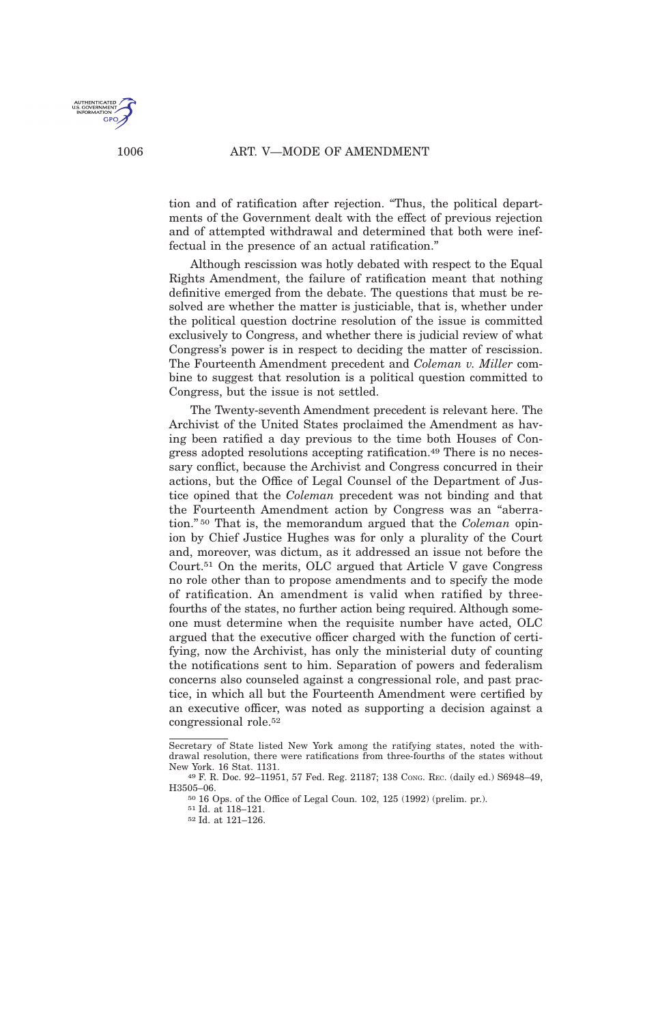

tion and of ratification after rejection. "Thus, the political departments of the Government dealt with the effect of previous rejection and of attempted withdrawal and determined that both were ineffectual in the presence of an actual ratification."

Although rescission was hotly debated with respect to the Equal Rights Amendment, the failure of ratification meant that nothing definitive emerged from the debate. The questions that must be resolved are whether the matter is justiciable, that is, whether under the political question doctrine resolution of the issue is committed exclusively to Congress, and whether there is judicial review of what Congress's power is in respect to deciding the matter of rescission. The Fourteenth Amendment precedent and *Coleman v. Miller* combine to suggest that resolution is a political question committed to Congress, but the issue is not settled.

The Twenty-seventh Amendment precedent is relevant here. The Archivist of the United States proclaimed the Amendment as having been ratified a day previous to the time both Houses of Congress adopted resolutions accepting ratification.<sup>49</sup> There is no necessary conflict, because the Archivist and Congress concurred in their actions, but the Office of Legal Counsel of the Department of Justice opined that the *Coleman* precedent was not binding and that the Fourteenth Amendment action by Congress was an "aberration." <sup>50</sup> That is, the memorandum argued that the *Coleman* opinion by Chief Justice Hughes was for only a plurality of the Court and, moreover, was dictum, as it addressed an issue not before the Court.<sup>51</sup> On the merits, OLC argued that Article V gave Congress no role other than to propose amendments and to specify the mode of ratification. An amendment is valid when ratified by threefourths of the states, no further action being required. Although someone must determine when the requisite number have acted, OLC argued that the executive officer charged with the function of certifying, now the Archivist, has only the ministerial duty of counting the notifications sent to him. Separation of powers and federalism concerns also counseled against a congressional role, and past practice, in which all but the Fourteenth Amendment were certified by an executive officer, was noted as supporting a decision against a congressional role.<sup>52</sup>

Secretary of State listed New York among the ratifying states, noted the withdrawal resolution, there were ratifications from three-fourths of the states without New York. 16 Stat. 1131.

<sup>49</sup> F. R. Doc. 92–11951, 57 Fed. Reg. 21187; 138 CONG. REC. (daily ed.) S6948–49, H3505–06.

<sup>50</sup> 16 Ops. of the Office of Legal Coun. 102, 125 (1992) (prelim. pr.).

<sup>51</sup> Id. at 118–121.

<sup>52</sup> Id. at 121–126.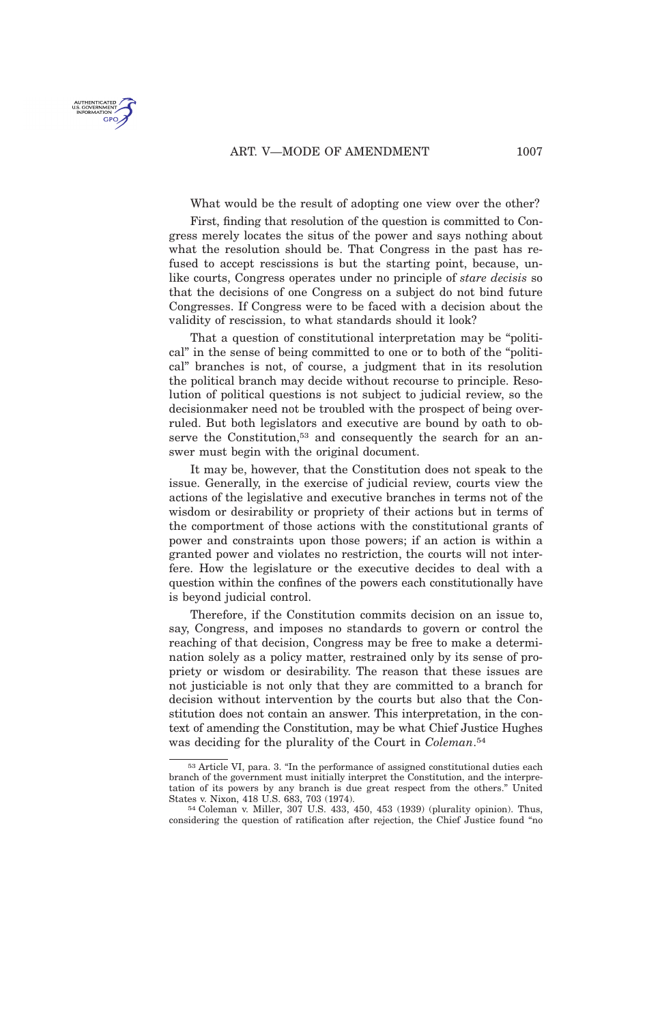

What would be the result of adopting one view over the other?

First, finding that resolution of the question is committed to Congress merely locates the situs of the power and says nothing about what the resolution should be. That Congress in the past has refused to accept rescissions is but the starting point, because, unlike courts, Congress operates under no principle of *stare decisis* so that the decisions of one Congress on a subject do not bind future Congresses. If Congress were to be faced with a decision about the validity of rescission, to what standards should it look?

That a question of constitutional interpretation may be "political" in the sense of being committed to one or to both of the "political" branches is not, of course, a judgment that in its resolution the political branch may decide without recourse to principle. Resolution of political questions is not subject to judicial review, so the decisionmaker need not be troubled with the prospect of being overruled. But both legislators and executive are bound by oath to observe the Constitution,<sup>53</sup> and consequently the search for an answer must begin with the original document.

It may be, however, that the Constitution does not speak to the issue. Generally, in the exercise of judicial review, courts view the actions of the legislative and executive branches in terms not of the wisdom or desirability or propriety of their actions but in terms of the comportment of those actions with the constitutional grants of power and constraints upon those powers; if an action is within a granted power and violates no restriction, the courts will not interfere. How the legislature or the executive decides to deal with a question within the confines of the powers each constitutionally have is beyond judicial control.

Therefore, if the Constitution commits decision on an issue to, say, Congress, and imposes no standards to govern or control the reaching of that decision, Congress may be free to make a determination solely as a policy matter, restrained only by its sense of propriety or wisdom or desirability. The reason that these issues are not justiciable is not only that they are committed to a branch for decision without intervention by the courts but also that the Constitution does not contain an answer. This interpretation, in the context of amending the Constitution, may be what Chief Justice Hughes was deciding for the plurality of the Court in *Coleman*. 54

<sup>53</sup> Article VI, para. 3. "In the performance of assigned constitutional duties each branch of the government must initially interpret the Constitution, and the interpretation of its powers by any branch is due great respect from the others." United States v. Nixon, 418 U.S. 683, 703 (1974).

<sup>54</sup> Coleman v. Miller, 307 U.S. 433, 450, 453 (1939) (plurality opinion). Thus, considering the question of ratification after rejection, the Chief Justice found "no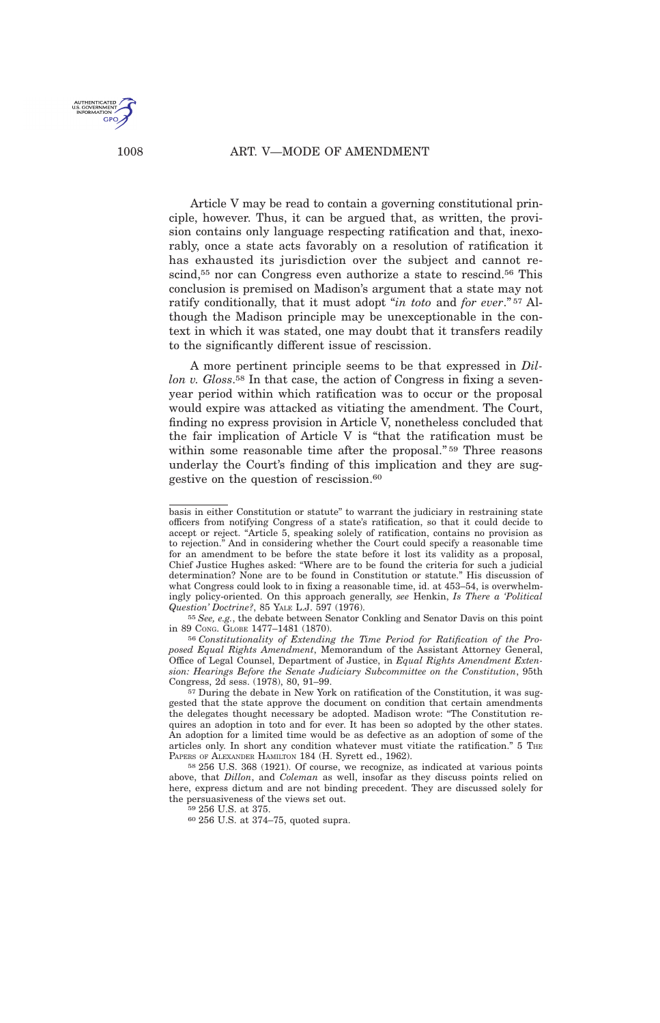

Article V may be read to contain a governing constitutional principle, however. Thus, it can be argued that, as written, the provision contains only language respecting ratification and that, inexorably, once a state acts favorably on a resolution of ratification it has exhausted its jurisdiction over the subject and cannot rescind,<sup>55</sup> nor can Congress even authorize a state to rescind.<sup>56</sup> This conclusion is premised on Madison's argument that a state may not ratify conditionally, that it must adopt "*in toto* and *for ever*." <sup>57</sup> Although the Madison principle may be unexceptionable in the context in which it was stated, one may doubt that it transfers readily to the significantly different issue of rescission.

A more pertinent principle seems to be that expressed in *Dillon v. Gloss*. <sup>58</sup> In that case, the action of Congress in fixing a sevenyear period within which ratification was to occur or the proposal would expire was attacked as vitiating the amendment. The Court, finding no express provision in Article V, nonetheless concluded that the fair implication of Article V is "that the ratification must be within some reasonable time after the proposal."<sup>59</sup> Three reasons underlay the Court's finding of this implication and they are suggestive on the question of rescission.<sup>60</sup>

55 *See, e.g.*, the debate between Senator Conkling and Senator Davis on this point in 89 CONG. GLOBE 1477–1481 (1870).

basis in either Constitution or statute" to warrant the judiciary in restraining state officers from notifying Congress of a state's ratification, so that it could decide to accept or reject. "Article 5, speaking solely of ratification, contains no provision as to rejection." And in considering whether the Court could specify a reasonable time for an amendment to be before the state before it lost its validity as a proposal, Chief Justice Hughes asked: "Where are to be found the criteria for such a judicial determination? None are to be found in Constitution or statute." His discussion of what Congress could look to in fixing a reasonable time, id. at 453–54, is overwhelmingly policy-oriented. On this approach generally, *see* Henkin, *Is There a 'Political Question' Doctrine?*, 85 YALE L.J. 597 (1976).

<sup>56</sup> *Constitutionality of Extending the Time Period for Ratification of the Proposed Equal Rights Amendment*, Memorandum of the Assistant Attorney General, Office of Legal Counsel, Department of Justice, in *Equal Rights Amendment Extension: Hearings Before the Senate Judiciary Subcommittee on the Constitution*, 95th Congress, 2d sess. (1978), 80, 91–99.

<sup>57</sup> During the debate in New York on ratification of the Constitution, it was suggested that the state approve the document on condition that certain amendments the delegates thought necessary be adopted. Madison wrote: "The Constitution requires an adoption in toto and for ever. It has been so adopted by the other states. An adoption for a limited time would be as defective as an adoption of some of the articles only. In short any condition whatever must vitiate the ratification." 5 THE PAPERS OF ALEXANDER HAMILTON 184 (H. Syrett ed., 1962).

<sup>58</sup> 256 U.S. 368 (1921). Of course, we recognize, as indicated at various points above, that *Dillon*, and *Coleman* as well, insofar as they discuss points relied on here, express dictum and are not binding precedent. They are discussed solely for the persuasiveness of the views set out.

<sup>59</sup> 256 U.S. at 375.

<sup>60</sup> 256 U.S. at 374–75, quoted supra.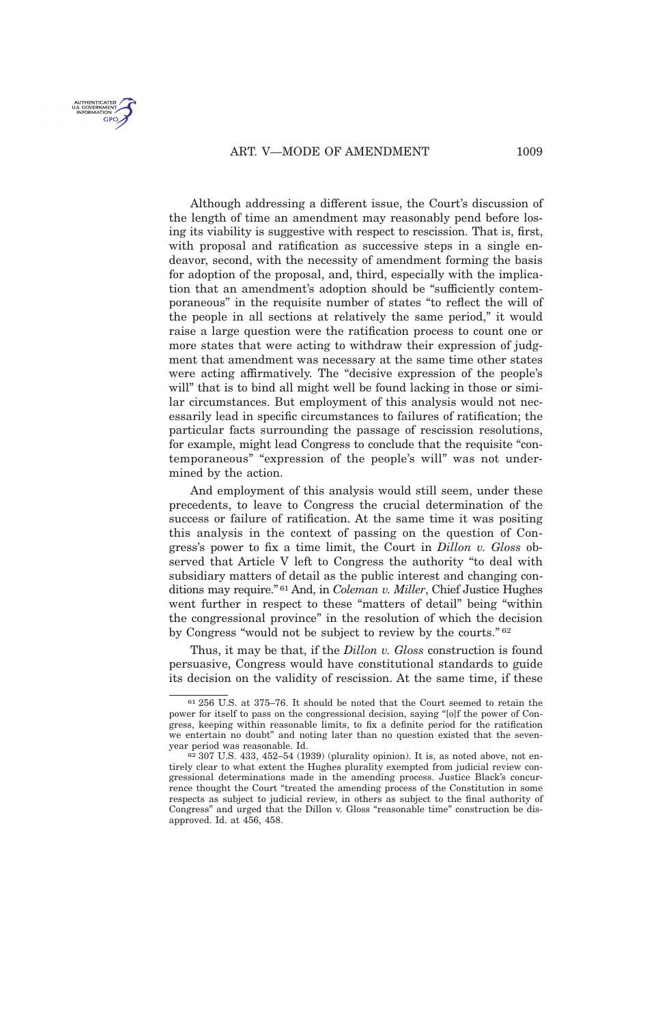

Although addressing a different issue, the Court's discussion of the length of time an amendment may reasonably pend before losing its viability is suggestive with respect to rescission. That is, first, with proposal and ratification as successive steps in a single endeavor, second, with the necessity of amendment forming the basis for adoption of the proposal, and, third, especially with the implication that an amendment's adoption should be "sufficiently contemporaneous" in the requisite number of states "to reflect the will of the people in all sections at relatively the same period," it would raise a large question were the ratification process to count one or more states that were acting to withdraw their expression of judgment that amendment was necessary at the same time other states were acting affirmatively. The "decisive expression of the people's will" that is to bind all might well be found lacking in those or similar circumstances. But employment of this analysis would not necessarily lead in specific circumstances to failures of ratification; the particular facts surrounding the passage of rescission resolutions, for example, might lead Congress to conclude that the requisite "contemporaneous" "expression of the people's will" was not undermined by the action.

And employment of this analysis would still seem, under these precedents, to leave to Congress the crucial determination of the success or failure of ratification. At the same time it was positing this analysis in the context of passing on the question of Congress's power to fix a time limit, the Court in *Dillon v. Gloss* observed that Article V left to Congress the authority "to deal with subsidiary matters of detail as the public interest and changing conditions may require." <sup>61</sup> And, in *Coleman v. Miller*, Chief Justice Hughes went further in respect to these "matters of detail" being "within the congressional province" in the resolution of which the decision by Congress "would not be subject to review by the courts." <sup>62</sup>

Thus, it may be that, if the *Dillon v. Gloss* construction is found persuasive, Congress would have constitutional standards to guide its decision on the validity of rescission. At the same time, if these

<sup>61</sup> 256 U.S. at 375–76. It should be noted that the Court seemed to retain the power for itself to pass on the congressional decision, saying "[o]f the power of Congress, keeping within reasonable limits, to fix a definite period for the ratification we entertain no doubt" and noting later than no question existed that the sevenyear period was reasonable. Id.

 $62\,307$  U.S. 433, 452–54 (1939) (plurality opinion). It is, as noted above, not entirely clear to what extent the Hughes plurality exempted from judicial review congressional determinations made in the amending process. Justice Black's concurrence thought the Court "treated the amending process of the Constitution in some respects as subject to judicial review, in others as subject to the final authority of Congress" and urged that the Dillon v. Gloss "reasonable time" construction be disapproved. Id. at 456, 458.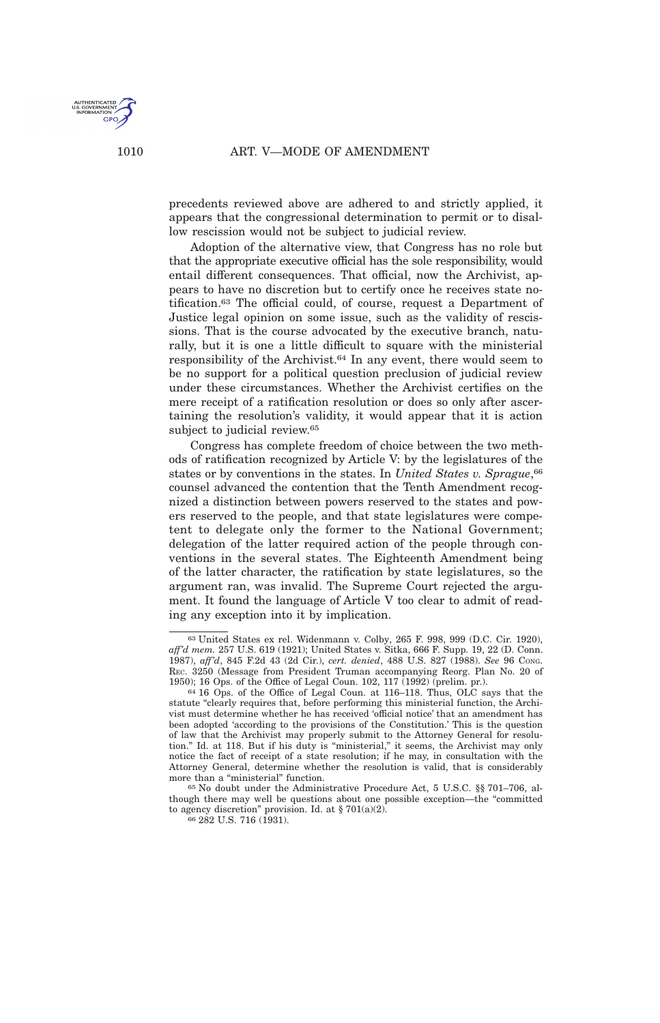

precedents reviewed above are adhered to and strictly applied, it appears that the congressional determination to permit or to disallow rescission would not be subject to judicial review.

Adoption of the alternative view, that Congress has no role but that the appropriate executive official has the sole responsibility, would entail different consequences. That official, now the Archivist, appears to have no discretion but to certify once he receives state notification.<sup>63</sup> The official could, of course, request a Department of Justice legal opinion on some issue, such as the validity of rescissions. That is the course advocated by the executive branch, naturally, but it is one a little difficult to square with the ministerial responsibility of the Archivist.<sup>64</sup> In any event, there would seem to be no support for a political question preclusion of judicial review under these circumstances. Whether the Archivist certifies on the mere receipt of a ratification resolution or does so only after ascertaining the resolution's validity, it would appear that it is action subject to judicial review.<sup>65</sup>

Congress has complete freedom of choice between the two methods of ratification recognized by Article V: by the legislatures of the states or by conventions in the states. In *United States v. Sprague*, 66 counsel advanced the contention that the Tenth Amendment recognized a distinction between powers reserved to the states and powers reserved to the people, and that state legislatures were competent to delegate only the former to the National Government; delegation of the latter required action of the people through conventions in the several states. The Eighteenth Amendment being of the latter character, the ratification by state legislatures, so the argument ran, was invalid. The Supreme Court rejected the argument. It found the language of Article V too clear to admit of reading any exception into it by implication.

<sup>63</sup> United States ex rel. Widenmann v. Colby, 265 F. 998, 999 (D.C. Cir. 1920), *aff'd mem.* 257 U.S. 619 (1921); United States v. Sitka, 666 F. Supp. 19, 22 (D. Conn. 1987), *aff'd*, 845 F.2d 43 (2d Cir.), *cert. denied*, 488 U.S. 827 (1988). *See* 96 CONG. REC. 3250 (Message from President Truman accompanying Reorg. Plan No. 20 of 1950); 16 Ops. of the Office of Legal Coun. 102, 117 (1992) (prelim. pr.).

<sup>64</sup> 16 Ops. of the Office of Legal Coun. at 116–118. Thus, OLC says that the statute "clearly requires that, before performing this ministerial function, the Archivist must determine whether he has received 'official notice' that an amendment has been adopted 'according to the provisions of the Constitution.' This is the question of law that the Archivist may properly submit to the Attorney General for resolution." Id. at 118. But if his duty is "ministerial," it seems, the Archivist may only notice the fact of receipt of a state resolution; if he may, in consultation with the Attorney General, determine whether the resolution is valid, that is considerably more than a "ministerial" function.

<sup>65</sup> No doubt under the Administrative Procedure Act, 5 U.S.C. §§ 701–706, although there may well be questions about one possible exception—the "committed to agency discretion" provision. Id. at § 701(a)(2).

<sup>66</sup> 282 U.S. 716 (1931).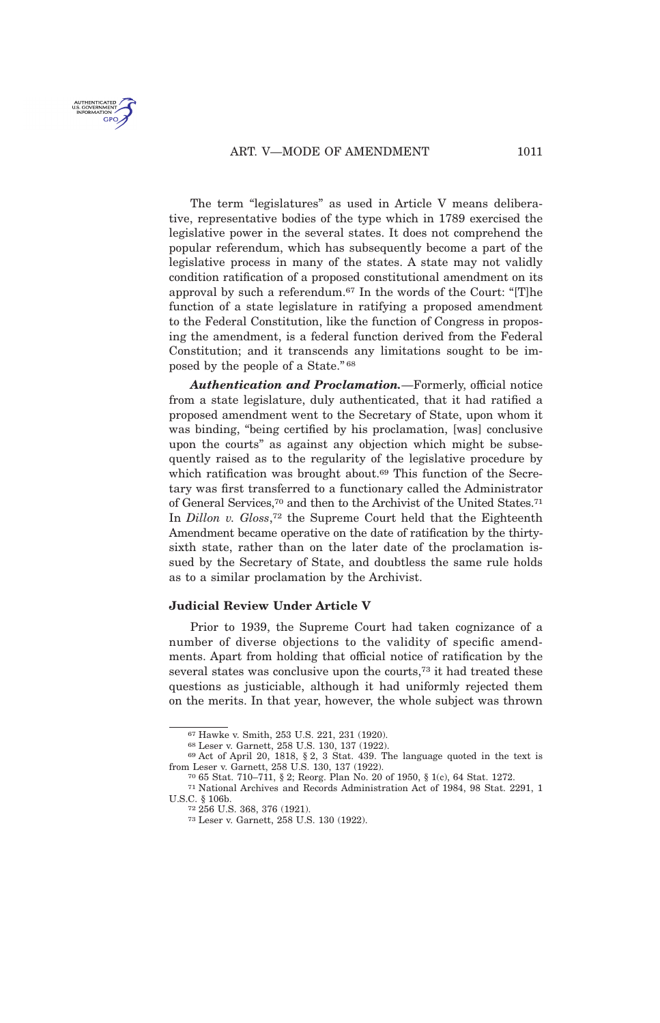<span id="page-16-0"></span>U.S. GOVERNMEN

The term "legislatures" as used in Article V means deliberative, representative bodies of the type which in 1789 exercised the legislative power in the several states. It does not comprehend the popular referendum, which has subsequently become a part of the legislative process in many of the states. A state may not validly condition ratification of a proposed constitutional amendment on its approval by such a referendum.<sup>67</sup> In the words of the Court: "[T]he function of a state legislature in ratifying a proposed amendment to the Federal Constitution, like the function of Congress in proposing the amendment, is a federal function derived from the Federal Constitution; and it transcends any limitations sought to be imposed by the people of a State." <sup>68</sup>

*Authentication and Proclamation.*—Formerly, official notice from a state legislature, duly authenticated, that it had ratified a proposed amendment went to the Secretary of State, upon whom it was binding, "being certified by his proclamation, [was] conclusive upon the courts" as against any objection which might be subsequently raised as to the regularity of the legislative procedure by which ratification was brought about.<sup>69</sup> This function of the Secretary was first transferred to a functionary called the Administrator of General Services,<sup>70</sup> and then to the Archivist of the United States.<sup>71</sup> In *Dillon v. Gloss*, <sup>72</sup> the Supreme Court held that the Eighteenth Amendment became operative on the date of ratification by the thirtysixth state, rather than on the later date of the proclamation issued by the Secretary of State, and doubtless the same rule holds as to a similar proclamation by the Archivist.

#### **Judicial Review Under Article V**

Prior to 1939, the Supreme Court had taken cognizance of a number of diverse objections to the validity of specific amendments. Apart from holding that official notice of ratification by the several states was conclusive upon the courts,<sup>73</sup> it had treated these questions as justiciable, although it had uniformly rejected them on the merits. In that year, however, the whole subject was thrown

<sup>67</sup> Hawke v. Smith, 253 U.S. 221, 231 (1920).

<sup>68</sup> Leser v. Garnett, 258 U.S. 130, 137 (1922).

<sup>69</sup> Act of April 20, 1818, § 2, 3 Stat. 439. The language quoted in the text is from Leser v. Garnett, 258 U.S. 130, 137 (1922).

<sup>70</sup> 65 Stat. 710–711, § 2; Reorg. Plan No. 20 of 1950, § 1(c), 64 Stat. 1272.

<sup>71</sup> National Archives and Records Administration Act of 1984, 98 Stat. 2291, 1 U.S.C. § 106b.

<sup>72</sup> 256 U.S. 368, 376 (1921).

<sup>73</sup> Leser v. Garnett, 258 U.S. 130 (1922).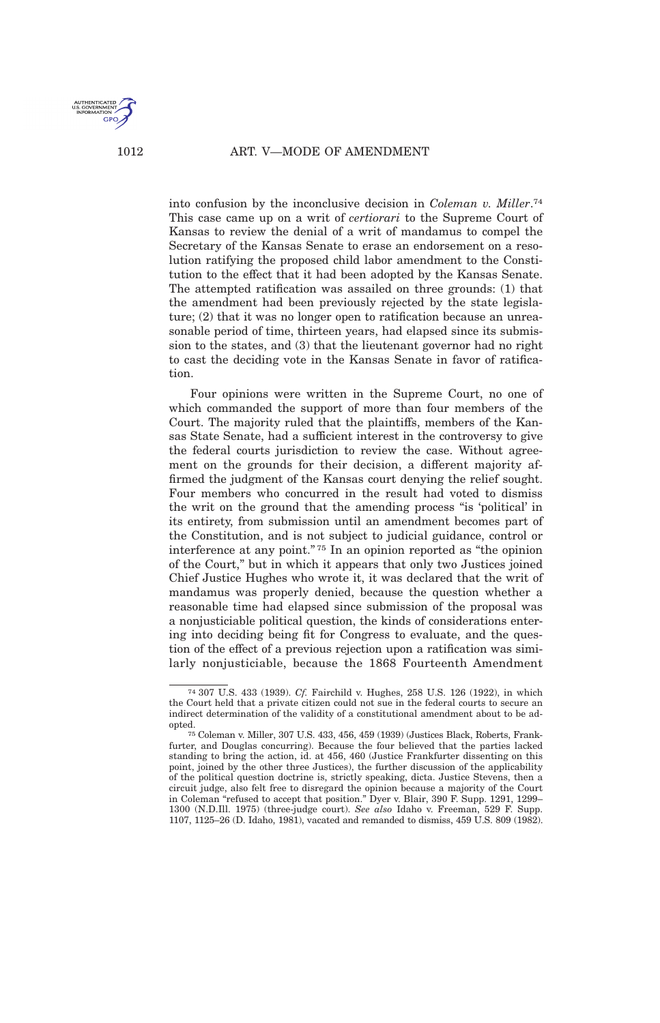**U.S. GOVERNME**<br>INFORMATION

into confusion by the inconclusive decision in *Coleman v. Miller*. 74 This case came up on a writ of *certiorari* to the Supreme Court of Kansas to review the denial of a writ of mandamus to compel the Secretary of the Kansas Senate to erase an endorsement on a resolution ratifying the proposed child labor amendment to the Constitution to the effect that it had been adopted by the Kansas Senate. The attempted ratification was assailed on three grounds: (1) that the amendment had been previously rejected by the state legislature; (2) that it was no longer open to ratification because an unreasonable period of time, thirteen years, had elapsed since its submission to the states, and (3) that the lieutenant governor had no right to cast the deciding vote in the Kansas Senate in favor of ratification.

Four opinions were written in the Supreme Court, no one of which commanded the support of more than four members of the Court. The majority ruled that the plaintiffs, members of the Kansas State Senate, had a sufficient interest in the controversy to give the federal courts jurisdiction to review the case. Without agreement on the grounds for their decision, a different majority affirmed the judgment of the Kansas court denying the relief sought. Four members who concurred in the result had voted to dismiss the writ on the ground that the amending process "is 'political' in its entirety, from submission until an amendment becomes part of the Constitution, and is not subject to judicial guidance, control or interference at any point." <sup>75</sup> In an opinion reported as "the opinion of the Court," but in which it appears that only two Justices joined Chief Justice Hughes who wrote it, it was declared that the writ of mandamus was properly denied, because the question whether a reasonable time had elapsed since submission of the proposal was a nonjusticiable political question, the kinds of considerations entering into deciding being fit for Congress to evaluate, and the question of the effect of a previous rejection upon a ratification was similarly nonjusticiable, because the 1868 Fourteenth Amendment

<sup>74</sup> 307 U.S. 433 (1939). *Cf.* Fairchild v. Hughes, 258 U.S. 126 (1922), in which the Court held that a private citizen could not sue in the federal courts to secure an indirect determination of the validity of a constitutional amendment about to be adopted.

<sup>75</sup> Coleman v. Miller, 307 U.S. 433, 456, 459 (1939) (Justices Black, Roberts, Frankfurter, and Douglas concurring). Because the four believed that the parties lacked standing to bring the action, id. at 456, 460 (Justice Frankfurter dissenting on this point, joined by the other three Justices), the further discussion of the applicability of the political question doctrine is, strictly speaking, dicta. Justice Stevens, then a circuit judge, also felt free to disregard the opinion because a majority of the Court in Coleman "refused to accept that position." Dyer v. Blair, 390 F. Supp. 1291, 1299– 1300 (N.D.Ill. 1975) (three-judge court). *See also* Idaho v. Freeman, 529 F. Supp. 1107, 1125–26 (D. Idaho, 1981), vacated and remanded to dismiss, 459 U.S. 809 (1982).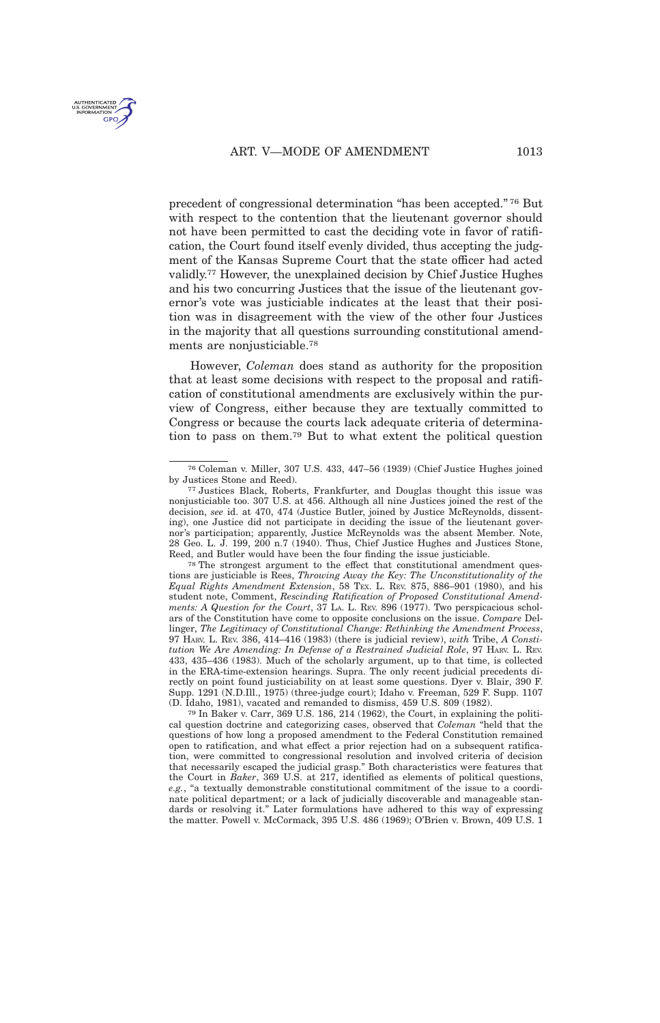

precedent of congressional determination "has been accepted." <sup>76</sup> But with respect to the contention that the lieutenant governor should not have been permitted to cast the deciding vote in favor of ratification, the Court found itself evenly divided, thus accepting the judgment of the Kansas Supreme Court that the state officer had acted validly.<sup>77</sup> However, the unexplained decision by Chief Justice Hughes and his two concurring Justices that the issue of the lieutenant governor's vote was justiciable indicates at the least that their position was in disagreement with the view of the other four Justices in the majority that all questions surrounding constitutional amendments are nonjusticiable.<sup>78</sup>

However, *Coleman* does stand as authority for the proposition that at least some decisions with respect to the proposal and ratification of constitutional amendments are exclusively within the purview of Congress, either because they are textually committed to Congress or because the courts lack adequate criteria of determination to pass on them.<sup>79</sup> But to what extent the political question

<sup>76</sup> Coleman v. Miller, 307 U.S. 433, 447–56 (1939) (Chief Justice Hughes joined by Justices Stone and Reed).

<sup>77</sup> Justices Black, Roberts, Frankfurter, and Douglas thought this issue was nonjusticiable too. 307 U.S. at 456. Although all nine Justices joined the rest of the decision, *see* id. at 470, 474 (Justice Butler, joined by Justice McReynolds, dissenting), one Justice did not participate in deciding the issue of the lieutenant governor's participation; apparently, Justice McReynolds was the absent Member. Note, 28 Geo. L. J. 199, 200 n.7 (1940). Thus, Chief Justice Hughes and Justices Stone, Reed, and Butler would have been the four finding the issue justiciable.

<sup>78</sup> The strongest argument to the effect that constitutional amendment questions are justiciable is Rees, *Throwing Away the Key: The Unconstitutionality of the Equal Rights Amendment Extension*, 58 TEX. L. REV. 875, 886–901 (1980), and his student note, Comment, *Rescinding Ratification of Proposed Constitutional Amendments: A Question for the Court*, 37 LA. L. REV. 896 (1977). Two perspicacious scholars of the Constitution have come to opposite conclusions on the issue. *Compare* Dellinger, *The Legitimacy of Constitutional Change: Rethinking the Amendment Process*, 97 HARV. L. REV. 386, 414–416 (1983) (there is judicial review), *with* Tribe, *A Constitution We Are Amending: In Defense of a Restrained Judicial Role*, 97 HARV. L. REV. 433, 435–436 (1983). Much of the scholarly argument, up to that time, is collected in the ERA-time-extension hearings. Supra. The only recent judicial precedents directly on point found justiciability on at least some questions. Dyer v. Blair, 390 F. Supp. 1291 (N.D.Ill., 1975) (three-judge court); Idaho v. Freeman, 529 F. Supp. 1107 (D. Idaho, 1981), vacated and remanded to dismiss, 459 U.S. 809 (1982).

<sup>79</sup> In Baker v. Carr, 369 U.S. 186, 214 (1962), the Court, in explaining the political question doctrine and categorizing cases, observed that *Coleman* "held that the questions of how long a proposed amendment to the Federal Constitution remained open to ratification, and what effect a prior rejection had on a subsequent ratification, were committed to congressional resolution and involved criteria of decision that necessarily escaped the judicial grasp." Both characteristics were features that the Court in *Baker*, 369 U.S. at 217, identified as elements of political questions, *e.g.*, "a textually demonstrable constitutional commitment of the issue to a coordinate political department; or a lack of judicially discoverable and manageable standards or resolving it." Later formulations have adhered to this way of expressing the matter. Powell v. McCormack, 395 U.S. 486 (1969); O'Brien v. Brown, 409 U.S. 1